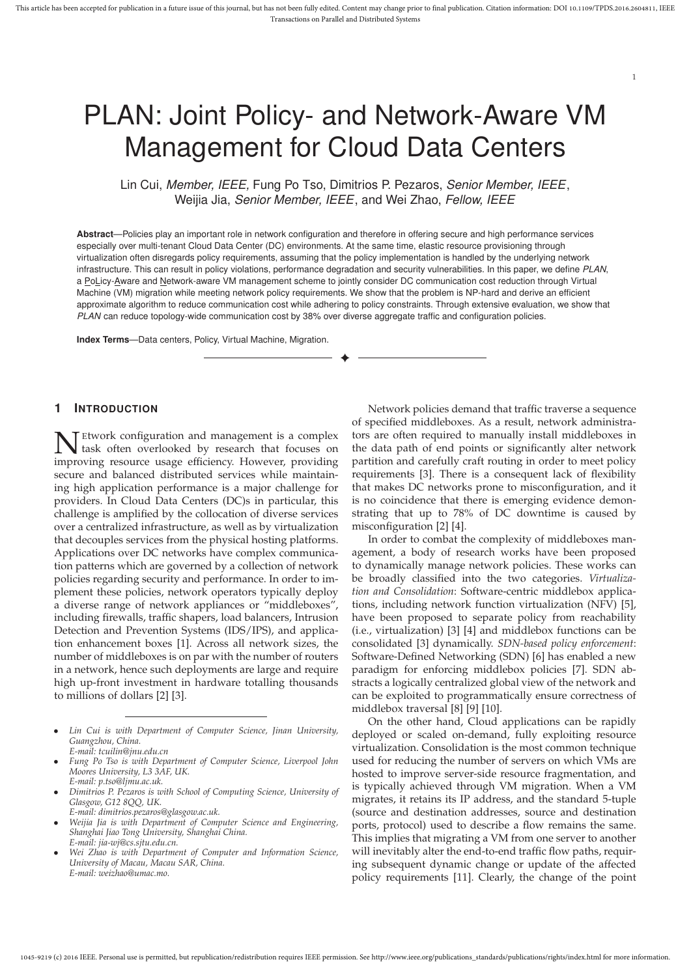# PLAN: Joint Policy- and Network-Aware VM Management for Cloud Data Centers

Lin Cui, *Member, IEEE,* Fung Po Tso, Dimitrios P. Pezaros, *Senior Member, IEEE*, Weijia Jia, *Senior Member, IEEE*, and Wei Zhao, *Fellow, IEEE*

**Abstract**—Policies play an important role in network configuration and therefore in offering secure and high performance services especially over multi-tenant Cloud Data Center (DC) environments. At the same time, elastic resource provisioning through virtualization often disregards policy requirements, assuming that the policy implementation is handled by the underlying network infrastructure. This can result in policy violations, performance degradation and security vulnerabilities. In this paper, we define *PLAN*, a PoLicy-Aware and Network-aware VM management scheme to jointly consider DC communication cost reduction through Virtual Machine (VM) migration while meeting network policy requirements. We show that the problem is NP-hard and derive an efficient approximate algorithm to reduce communication cost while adhering to policy constraints. Through extensive evaluation, we show that *PLAN* can reduce topology-wide communication cost by 38% over diverse aggregate traffic and configuration policies.

✦

**Index Terms**—Data centers, Policy, Virtual Machine, Migration.

# **1 INTRODUCTION**

**NEtwork configuration and management is a complex**<br>task often overlooked by research that focuses on<br>improving resource usage efficiency. However, providing improving resource usage efficiency. However, providing secure and balanced distributed services while maintaining high application performance is a major challenge for providers. In Cloud Data Centers (DC)s in particular, this challenge is amplified by the collocation of diverse services over a centralized infrastructure, as well as by virtualization that decouples services from the physical hosting platforms. Applications over DC networks have complex communication patterns which are governed by a collection of network policies regarding security and performance. In order to implement these policies, network operators typically deploy a diverse range of network appliances or "middleboxes", including firewalls, traffic shapers, load balancers, Intrusion Detection and Prevention Systems (IDS/IPS), and application enhancement boxes [1]. Across all network sizes, the number of middleboxes is on par with the number of routers in a network, hence such deployments are large and require high up-front investment in hardware totalling thousands to millions of dollars [2] [3].

- *Dimitrios P. Pezaros is with School of Computing Science, University of Glasgow, G12 8QQ, UK.*
- *E-mail: dimitrios.pezaros@glasgow.ac.uk.*
- *Weijia Jia is with Department of Computer Science and Engineering, Shanghai Jiao Tong University, Shanghai China. E-mail: jia-wj@cs.sjtu.edu.cn.*
- *Wei Zhao is with Department of Computer and Information Science, University of Macau, Macau SAR, China. E-mail: weizhao@umac.mo.*

Network policies demand that traffic traverse a sequence of specified middleboxes. As a result, network administrators are often required to manually install middleboxes in the data path of end points or significantly alter network partition and carefully craft routing in order to meet policy requirements [3]. There is a consequent lack of flexibility that makes DC networks prone to misconfiguration, and it is no coincidence that there is emerging evidence demonstrating that up to 78% of DC downtime is caused by misconfiguration [2] [4].

1

In order to combat the complexity of middleboxes management, a body of research works have been proposed to dynamically manage network policies. These works can be broadly classified into the two categories. *Virtualization and Consolidation*: Software-centric middlebox applications, including network function virtualization (NFV) [5], have been proposed to separate policy from reachability (i.e., virtualization) [3] [4] and middlebox functions can be consolidated [3] dynamically. *SDN-based policy enforcement*: Software-Defined Networking (SDN) [6] has enabled a new paradigm for enforcing middlebox policies [7]. SDN abstracts a logically centralized global view of the network and can be exploited to programmatically ensure correctness of middlebox traversal [8] [9] [10].

On the other hand, Cloud applications can be rapidly deployed or scaled on-demand, fully exploiting resource virtualization. Consolidation is the most common technique used for reducing the number of servers on which VMs are hosted to improve server-side resource fragmentation, and is typically achieved through VM migration. When a VM migrates, it retains its IP address, and the standard 5-tuple (source and destination addresses, source and destination ports, protocol) used to describe a flow remains the same. This implies that migrating a VM from one server to another will inevitably alter the end-to-end traffic flow paths, requiring subsequent dynamic change or update of the affected policy requirements [11]. Clearly, the change of the point

<sup>•</sup> *Lin Cui is with Department of Computer Science, Jinan University, Guangzhou, China. E-mail: tcuilin@jnu.edu.cn*

<sup>•</sup> *Fung Po Tso is with Department of Computer Science, Liverpool John Moores University, L3 3AF, UK. E-mail: p.tso@ljmu.ac.uk.*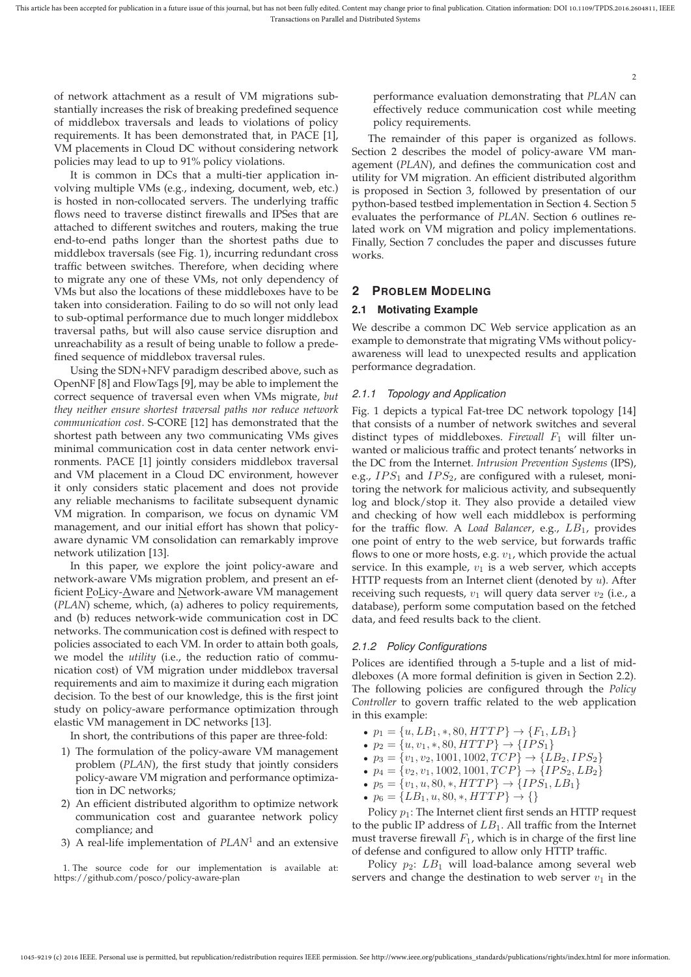of network attachment as a result of VM migrations substantially increases the risk of breaking predefined sequence of middlebox traversals and leads to violations of policy requirements. It has been demonstrated that, in PACE [1], VM placements in Cloud DC without considering network policies may lead to up to 91% policy violations.

It is common in DCs that a multi-tier application involving multiple VMs (e.g., indexing, document, web, etc.) is hosted in non-collocated servers. The underlying traffic flows need to traverse distinct firewalls and IPSes that are attached to different switches and routers, making the true end-to-end paths longer than the shortest paths due to middlebox traversals (see Fig. 1), incurring redundant cross traffic between switches. Therefore, when deciding where to migrate any one of these VMs, not only dependency of VMs but also the locations of these middleboxes have to be taken into consideration. Failing to do so will not only lead to sub-optimal performance due to much longer middlebox traversal paths, but will also cause service disruption and unreachability as a result of being unable to follow a predefined sequence of middlebox traversal rules.

Using the SDN+NFV paradigm described above, such as OpenNF [8] and FlowTags [9], may be able to implement the correct sequence of traversal even when VMs migrate, *but they neither ensure shortest traversal paths nor reduce network communication cost*. S-CORE [12] has demonstrated that the shortest path between any two communicating VMs gives minimal communication cost in data center network environments. PACE [1] jointly considers middlebox traversal and VM placement in a Cloud DC environment, however it only considers static placement and does not provide any reliable mechanisms to facilitate subsequent dynamic VM migration. In comparison, we focus on dynamic VM management, and our initial effort has shown that policyaware dynamic VM consolidation can remarkably improve network utilization [13].

In this paper, we explore the joint policy-aware and network-aware VMs migration problem, and present an efficient PoLicy-Aware and Network-aware VM management (*PLAN*) scheme, which, (a) adheres to policy requirements, and (b) reduces network-wide communication cost in DC networks. The communication cost is defined with respect to policies associated to each VM. In order to attain both goals, we model the *utility* (i.e., the reduction ratio of communication cost) of VM migration under middlebox traversal requirements and aim to maximize it during each migration decision. To the best of our knowledge, this is the first joint study on policy-aware performance optimization through elastic VM management in DC networks [13].

In short, the contributions of this paper are three-fold:

- 1) The formulation of the policy-aware VM management problem (*PLAN*), the first study that jointly considers policy-aware VM migration and performance optimization in DC networks;
- 2) An efficient distributed algorithm to optimize network communication cost and guarantee network policy compliance; and
- 3) A real-life implementation of *PLAN*<sup>1</sup> and an extensive

1. The source code for our implementation is available at: https://github.com/posco/policy-aware-plan

performance evaluation demonstrating that *PLAN* can effectively reduce communication cost while meeting policy requirements.

The remainder of this paper is organized as follows. Section 2 describes the model of policy-aware VM management (*PLAN*), and defines the communication cost and utility for VM migration. An efficient distributed algorithm is proposed in Section 3, followed by presentation of our python-based testbed implementation in Section 4. Section 5 evaluates the performance of *PLAN*. Section 6 outlines related work on VM migration and policy implementations. Finally, Section 7 concludes the paper and discusses future works.

## **2 PROBLEM MODELING**

## **2.1 Motivating Example**

We describe a common DC Web service application as an example to demonstrate that migrating VMs without policyawareness will lead to unexpected results and application performance degradation.

#### *2.1.1 Topology and Application*

Fig. 1 depicts a typical Fat-tree DC network topology [14] that consists of a number of network switches and several distinct types of middleboxes. *Firewall*  $F_1$  will filter unwanted or malicious traffic and protect tenants' networks in the DC from the Internet. *Intrusion Prevention Systems* (IPS), e.g.,  $IPS_1$  and  $IPS_2$ , are configured with a ruleset, monitoring the network for malicious activity, and subsequently log and block/stop it. They also provide a detailed view and checking of how well each middlebox is performing for the traffic flow. A *Load Balancer*, e.g.,  $LB_1$ , provides one point of entry to the web service, but forwards traffic flows to one or more hosts, e.g.  $v_1$ , which provide the actual service. In this example,  $v_1$  is a web server, which accepts HTTP requests from an Internet client (denoted by  $u$ ). After receiving such requests,  $v_1$  will query data server  $v_2$  (i.e., a database), perform some computation based on the fetched data, and feed results back to the client.

#### *2.1.2 Policy Configurations*

Polices are identified through a 5-tuple and a list of middleboxes (A more formal definition is given in Section 2.2). The following policies are configured through the *Policy Controller* to govern traffic related to the web application in this example:

- $p_1 = \{u, LB_1, *, 80, HTTP\} \rightarrow \{F_1, LB_1\}$
- $p_2 = \{u, v_1, *, 80, HTTP\} \rightarrow \{IPS_1\}$
- $p_3 = \{v_1, v_2, 1001, 1002, TCP\} \rightarrow \{LB_2, IPS_2\}$
- $p_4 = \{v_2, v_1, 1002, 1001, TCP\} \rightarrow \{IPS_2, LB_2\}$
- $p_5 = \{v_1, u, 80, *, HTTP\} \rightarrow \{IPS_1, LB_1\}$
- $p_6 = \{LB_1, u, 80, *, HTTP\} \rightarrow \{\}$

Policy  $p_1$ : The Internet client first sends an HTTP request to the public IP address of  $LB<sub>1</sub>$ . All traffic from the Internet must traverse firewall  $F_1$ , which is in charge of the first line of defense and configured to allow only HTTP traffic.

Policy  $p_2$ :  $LB_1$  will load-balance among several web servers and change the destination to web server  $v_1$  in the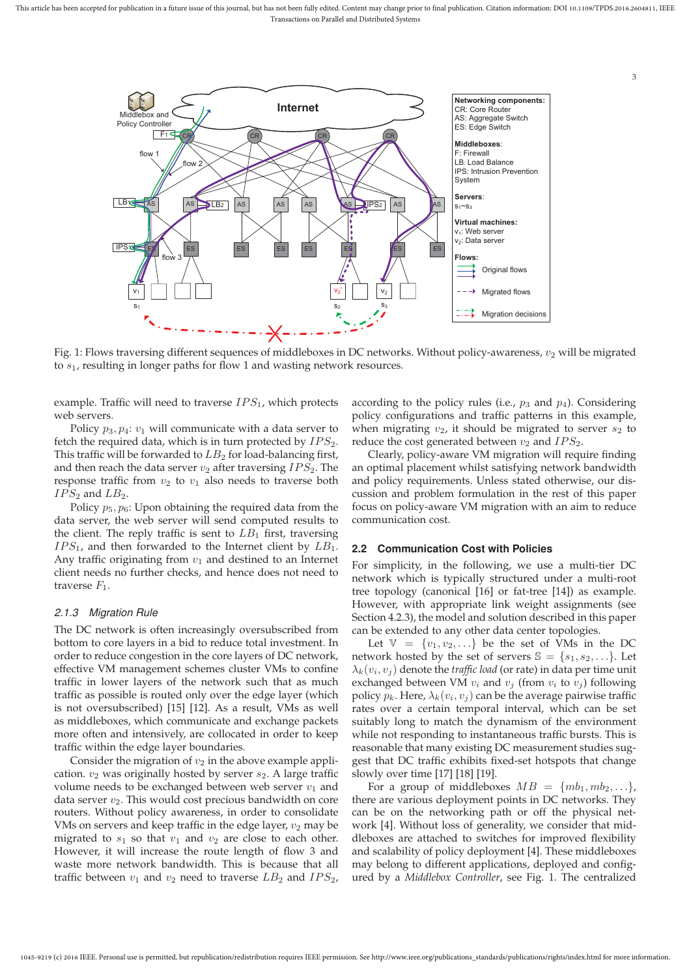

Fig. 1: Flows traversing different sequences of middleboxes in DC networks. Without policy-awareness,  $v_2$  will be migrated to  $s<sub>1</sub>$ , resulting in longer paths for flow 1 and wasting network resources.

example. Traffic will need to traverse  $IPS_1$ , which protects web servers.

Policy  $p_3, p_4$ :  $v_1$  will communicate with a data server to fetch the required data, which is in turn protected by  $IPS_2$ . This traffic will be forwarded to  $LB<sub>2</sub>$  for load-balancing first, and then reach the data server  $v_2$  after traversing  $IPS_2$ . The response traffic from  $v_2$  to  $v_1$  also needs to traverse both  $IPS_2$  and  $LB_2$ .

Policy  $p_5, p_6$ : Upon obtaining the required data from the data server, the web server will send computed results to the client. The reply traffic is sent to  $LB<sub>1</sub>$  first, traversing  $IPS_1$ , and then forwarded to the Internet client by  $LB_1$ . Any traffic originating from  $v_1$  and destined to an Internet client needs no further checks, and hence does not need to traverse  $F_1$ .

#### *2.1.3 Migration Rule*

The DC network is often increasingly oversubscribed from bottom to core layers in a bid to reduce total investment. In order to reduce congestion in the core layers of DC network, effective VM management schemes cluster VMs to confine traffic in lower layers of the network such that as much traffic as possible is routed only over the edge layer (which is not oversubscribed) [15] [12]. As a result, VMs as well as middleboxes, which communicate and exchange packets more often and intensively, are collocated in order to keep traffic within the edge layer boundaries.

Consider the migration of  $v_2$  in the above example application.  $v_2$  was originally hosted by server  $s_2$ . A large traffic volume needs to be exchanged between web server  $v_1$  and data server  $v_2$ . This would cost precious bandwidth on core routers. Without policy awareness, in order to consolidate VMs on servers and keep traffic in the edge layer,  $v_2$  may be migrated to  $s_1$  so that  $v_1$  and  $v_2$  are close to each other. However, it will increase the route length of flow 3 and waste more network bandwidth. This is because that all traffic between  $v_1$  and  $v_2$  need to traverse  $LB_2$  and  $IPS_2$ , according to the policy rules (i.e.,  $p_3$  and  $p_4$ ). Considering policy configurations and traffic patterns in this example, when migrating  $v_2$ , it should be migrated to server  $s_2$  to reduce the cost generated between  $v_2$  and  $IPS_2$ .

3

Clearly, policy-aware VM migration will require finding an optimal placement whilst satisfying network bandwidth and policy requirements. Unless stated otherwise, our discussion and problem formulation in the rest of this paper focus on policy-aware VM migration with an aim to reduce communication cost.

# **2.2 Communication Cost with Policies**

For simplicity, in the following, we use a multi-tier DC network which is typically structured under a multi-root tree topology (canonical [16] or fat-tree [14]) as example. However, with appropriate link weight assignments (see Section 4.2.3), the model and solution described in this paper can be extended to any other data center topologies.

Let  $V = \{v_1, v_2, \ldots\}$  be the set of VMs in the DC network hosted by the set of servers  $\mathbb{S} = \{s_1, s_2, \ldots\}$ . Let  $\lambda_k(v_i, v_j)$  denote the *traffic load* (or rate) in data per time unit exchanged between VM  $v_i$  and  $v_j$  (from  $v_i$  to  $v_j$ ) following policy  $p_k$ . Here,  $\lambda_k(v_i, v_j)$  can be the average pairwise traffic rates over a certain temporal interval, which can be set suitably long to match the dynamism of the environment while not responding to instantaneous traffic bursts. This is reasonable that many existing DC measurement studies suggest that DC traffic exhibits fixed-set hotspots that change slowly over time [17] [18] [19].

For a group of middleboxes  $MB = \{mb_1, mb_2, ...\}$ , there are various deployment points in DC networks. They can be on the networking path or off the physical network [4]. Without loss of generality, we consider that middleboxes are attached to switches for improved flexibility and scalability of policy deployment [4]. These middleboxes may belong to different applications, deployed and configured by a *Middlebox Controller*, see Fig. 1. The centralized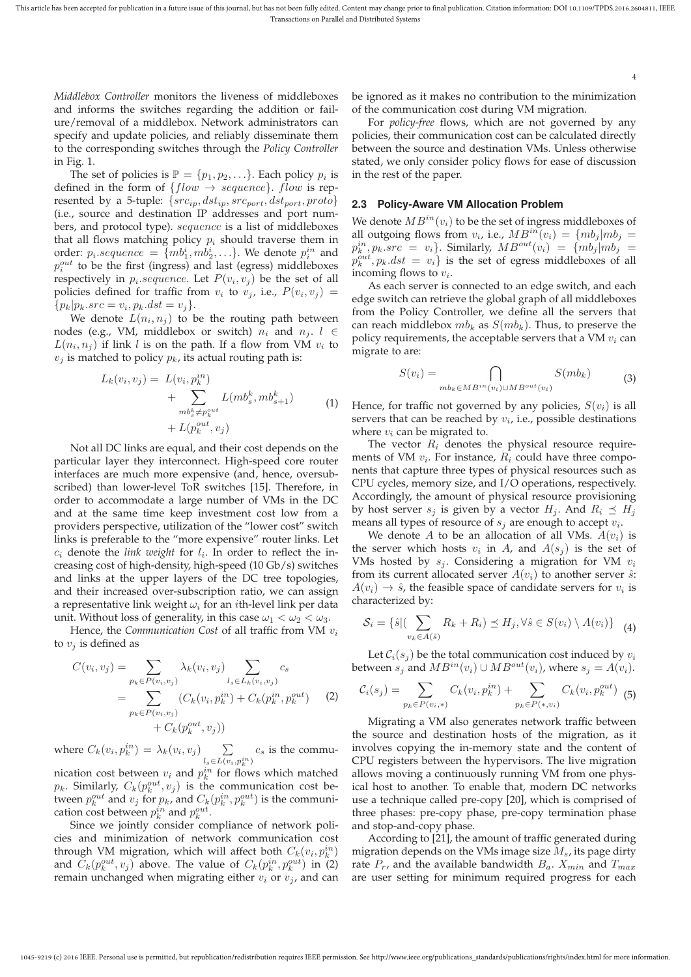*Middlebox Controller* monitors the liveness of middleboxes and informs the switches regarding the addition or failure/removal of a middlebox. Network administrators can specify and update policies, and reliably disseminate them to the corresponding switches through the *Policy Controller* in Fig. 1.

The set of policies is  $\mathbb{P} = \{p_1, p_2, \ldots\}$ . Each policy  $p_i$  is defined in the form of  $\{flow \rightarrow sequence\}$ . flow is represented by a 5-tuple:  $\{src_{ip}, dst_{ip}, src_{port}, dst_{port}, proto\}$ (i.e., source and destination IP addresses and port numbers, and protocol type). sequence is a list of middleboxes that all flows matching policy  $p_i$  should traverse them in order:  $p_i$ . sequence  $= \{mb_i^i, mb_2^i, ...\}$ . We denote  $p_i^{in}$  and  $p_i^{out}$  to be the first (ingress) and last (egress) middleboxes  $p_i^{out}$  to be the first (ingress) and last (egress) middleboxes respectively in  $p_i$ .sequence. Let  $P(v_i, v_j)$  be the set of all policies defined for traffic from  $v_i$  to  $v_j$ , i.e.,  $P(v_i, v_j)$  =  $\{p_k|p_k.src=v_i, p_k.dst=v_j\}.$ 

We denote  $L(n_i, n_i)$  to be the routing path between nodes (e.g., VM, middlebox or switch)  $n_i$  and  $n_j$ .  $l \in$  $L(n_i, n_j)$  if link l is on the path. If a flow from VM  $v_i$  to  $v_i$  is matched to policy  $p_k$ , its actual routing path is:

$$
L_k(v_i, v_j) = L(v_i, p_k^{in}) + \sum_{\substack{m b_s^k \neq p_k^{out} \\ \neq L(p_k^{out}, v_j)}} L(m b_s^k, m b_{s+1}^k)
$$
(1)

Not all DC links are equal, and their cost depends on the particular layer they interconnect. High-speed core router interfaces are much more expensive (and, hence, oversubscribed) than lower-level ToR switches [15]. Therefore, in order to accommodate a large number of VMs in the DC and at the same time keep investment cost low from a providers perspective, utilization of the "lower cost" switch links is preferable to the "more expensive" router links. Let  $c_i$  denote the *link weight* for  $l_i$ . In order to reflect the increasing cost of high-density, high-speed (10 Gb/s) switches and links at the upper layers of the DC tree topologies, and their increased over-subscription ratio, we can assign a representative link weight  $\omega_i$  for an *i*th-level link per data unit. Without loss of generality, in this case  $\omega_1 < \omega_2 < \omega_3$ .

Hence, the *Communication Cost* of all traffic from VM  $v_i$ to  $v_i$  is defined as

$$
C(v_i, v_j) = \sum_{p_k \in P(v_i, v_j)} \lambda_k(v_i, v_j) \sum_{l_s \in L_k(v_i, v_j)} c_s
$$
  
= 
$$
\sum_{p_k \in P(v_i, v_j)} (C_k(v_i, p_k^{in}) + C_k(p_k^{in}, p_k^{out})
$$
 (2)  
+ 
$$
C_k(p_k^{out}, v_j))
$$

where  $C_k(v_i, p_k^{in}) = \lambda_k(v_i, v_j) \sum_{l_s \in L(v_i, p_k^{in})}$  $c_s$  is the commu-

nication cost between  $v_i$  and  $p_k^{in}$  for flows which matched  $p_k$ . Similarly,  $C_k(p_k^{out}, v_j)$  is the communication cost be-<br>tween  $p_k^{out}$  and  $v_k$  for  $v_k$  and  $C_k(p_k^{in} \cdot p_k^{out})$  is the communitween  $p_k^{out}$  and  $v_j$  for  $p_k$ , and  $C_k(p_k^{in}, p_k^{out})$  is the communication cost between  $n_i^{in}$  and  $n_i^{out}$ cation cost between  $p_k^{in}$  and  $p_k^{out}$ .

Since we jointly consider compliance of network policies and minimization of network communication cost through VM migration, which will affect both  $C_k(v_i, p_k^n)$ and  $C_k(p_k^{out}, v_j)$  above. The value of  $C_k(p_k^{in}, p_k^{out})$  in (2)<br>remain unchanged when migrating either  $v_k$  or  $v_k$ , and can remain unchanged when migrating either  $v_i$  or  $v_j$ , and can

be ignored as it makes no contribution to the minimization of the communication cost during VM migration.

4

For *policy-free* flows, which are not governed by any policies, their communication cost can be calculated directly between the source and destination VMs. Unless otherwise stated, we only consider policy flows for ease of discussion in the rest of the paper.

#### **2.3 Policy-Aware VM Allocation Problem**

We denote  $MB^{in}(v_i)$  to be the set of ingress middleboxes of all outgoing flows from  $v_i$ , i.e.,  $MB^{in}(v_i) = \{mb_j | mb_j =$  $p_k^{in}, p_k.src = v_i$ . Similarly,  $MB^{out}(v_i) = \{mb_j | mb_j =$ <br>  $p_i^{out}$ ,  $p_i$ ,  $dst = v_i$ , is the set of egress middleboxes of all  $p_{\mu\nu}^{\hat{u}ut}$ ,  $p_k.dst = v_i$  is the set of egress middleboxes of all incoming flows to  $v_i$ . incoming flows to  $v_i$ .

As each server is connected to an edge switch, and each edge switch can retrieve the global graph of all middleboxes from the Policy Controller, we define all the servers that can reach middlebox  $mb_k$  as  $S(m b_k)$ . Thus, to preserve the policy requirements, the acceptable servers that a VM  $v_i$  can migrate to are:

$$
S(v_i) = \bigcap_{mb_k \in MB^{in}(v_i) \cup MB^{out}(v_i)} S(mb_k)
$$
 (3)

Hence, for traffic not governed by any policies,  $S(v_i)$  is all servers that can be reached by  $v_i$ , i.e., possible destinations where  $v_i$  can be migrated to.

The vector  $R_i$  denotes the physical resource requirements of VM  $v_i$ . For instance,  $R_i$  could have three components that capture three types of physical resources such as CPU cycles, memory size, and I/O operations, respectively. Accordingly, the amount of physical resource provisioning by host server  $s_j$  is given by a vector  $H_j$ . And  $R_i \preceq H_j$ means all types of resource of  $s_i$  are enough to accept  $v_i$ .

We denote A to be an allocation of all VMs.  $A(v_i)$  is the server which hosts  $v_i$  in A, and  $A(s_j)$  is the set of VMs hosted by  $s_j$ . Considering a migration for VM  $v_i$ from its current allocated server  $A(v_i)$  to another server  $\hat{s}$ :  $A(v_i) \rightarrow \hat{s}$ , the feasible space of candidate servers for  $v_i$  is characterized by:

$$
S_i = \{ \hat{s} | (\sum_{v_k \in A(\hat{s})} R_k + R_i) \preceq H_j, \forall \hat{s} \in S(v_i) \setminus A(v_i) \} \tag{4}
$$

Let  $C_i(s_i)$  be the total communication cost induced by  $v_i$ between  $s_j$  and  $MB^{in}(v_i) \cup MB^{out}(v_i)$ , where  $s_j = A(v_i)$ .

$$
C_i(s_j) = \sum_{p_k \in P(v_i, *)} C_k(v_i, p_k^{in}) + \sum_{p_k \in P(*, v_i)} C_k(v_i, p_k^{out})
$$
(5)

Migrating a VM also generates network traffic between the source and destination hosts of the migration, as it involves copying the in-memory state and the content of CPU registers between the hypervisors. The live migration allows moving a continuously running VM from one physical host to another. To enable that, modern DC networks use a technique called pre-copy [20], which is comprised of three phases: pre-copy phase, pre-copy termination phase and stop-and-copy phase.

According to [21], the amount of traffic generated during migration depends on the VMs image size  $M_s$ , its page dirty rate  $P_r$ , and the available bandwidth  $B_a$ .  $X_{min}$  and  $T_{max}$ are user setting for minimum required progress for each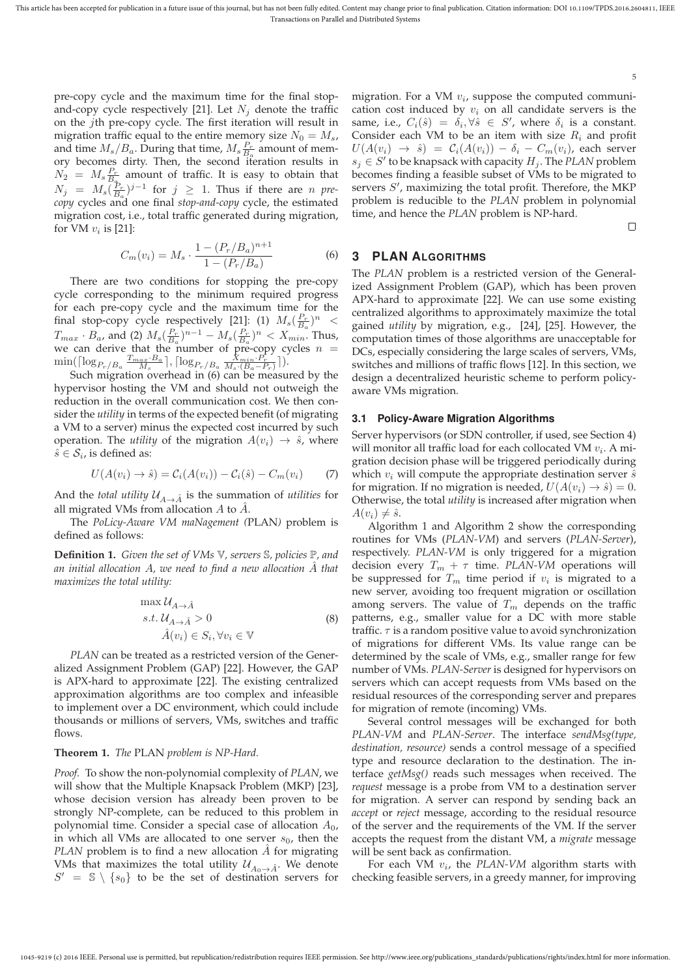pre-copy cycle and the maximum time for the final stopand-copy cycle respectively [21]. Let  $N_j$  denote the traffic on the jth pre-copy cycle. The first iteration will result in migration traffic equal to the entire memory size  $N_0 = M_s$ , and time  $M_s/B_a$ . During that time,  $M_s \frac{P_r}{B_a}$  amount of memory becomes dirty. Then, the second iteration results in  $N_2 = M_s \frac{P_r}{B_q}$  amount of traffic. It is easy to obtain that  $N = M (P_r)$  i–1 for  $\phi > 1$ . Thus if there are n we  $N_j = M_s(\frac{P_r}{B_a})^{j-1}$  for  $j \ge 1$ . Thus if there are *n pre-comp cycles* and one final *ston-and-comp cycle* the estimated *copy* cycles and one final *stop-and-copy* cycle, the estimated migration cost, i.e., total traffic generated during migration, for VM  $v_i$  is [21]:

$$
C_m(v_i) = M_s \cdot \frac{1 - (P_r/B_a)^{n+1}}{1 - (P_r/B_a)}
$$
(6)

There are two conditions for stopping the pre-copy cycle corresponding to the minimum required progress for each pre-copy cycle and the maximum time for the final stop-copy cycle respectively [21]: (1)  $M_s(\frac{P_r}{B_a})^n <$ <br>The example of  $M(\frac{P_r}{B_a})^{n-1} \leq M(\frac{P_r}{B_a})^n < N$ .  $T_{max} \cdot B_a$ , and (2)  $M_s(\frac{P_r}{B_a})^{n-1} - M_s(\frac{P_r}{B_a})^n < X_{min}$ . Thus,<br>we can derive that the number of pre-copy cycles  $n =$ we can derive that the number of pre-copy cycles  $n = \min(\lceil \log_{\rho} \rceil, \lceil \frac{T_{max} \cdot B_a \rceil}{\log_{\rho} \cdot \lceil \log_{\rho} \rceil}, \lceil \frac{X_{min} \cdot P_r}{\log_{\rho} \rceil})$  $\min(\lceil \log_{P_r/B_a} \frac{T_{max} \cdot B_a}{M_s} \rceil, \lceil \log_{P_r/B_a} \frac{X_{min} \cdot P_r}{M_s \cdot (B_a - P_r)} \rceil).$ <br>Such migration overhead in (6) can be measured by the

hypervisor hosting the VM and should not outweigh the reduction in the overall communication cost. We then consider the *utility* in terms of the expected benefit (of migrating a VM to a server) minus the expected cost incurred by such operation. The *utility* of the migration  $A(v_i) \rightarrow \hat{s}$ , where  $\hat{s} \in \mathcal{S}_i$ , is defined as:

$$
U(A(v_i) \to \hat{s}) = C_i(A(v_i)) - C_i(\hat{s}) - C_m(v_i) \tag{7}
$$

And the *total utility*  $U_{A\rightarrow \hat{A}}$  is the summation of *utilities* for all migrated VMs from allocation  $A$  to  $\ddot{A}$ .

The *PoLicy-Aware VM maNagement (*PLAN*)* problem is defined as follows:

**Definition 1.** *Given the set of VMs* V*, servers* S*, policies* P*, and an initial allocation* <sup>A</sup>*, we need to find a new allocation* <sup>A</sup><sup>ˆ</sup> *that maximizes the total utility:*

$$
\max \mathcal{U}_{A \to \hat{A}}s.t. \mathcal{U}_{A \to \hat{A}} > 0\hat{A}(v_i) \in S_i, \forall v_i \in \mathbb{V}
$$
\n(8)

*PLAN* can be treated as a restricted version of the Generalized Assignment Problem (GAP) [22]. However, the GAP is APX-hard to approximate [22]. The existing centralized approximation algorithms are too complex and infeasible to implement over a DC environment, which could include thousands or millions of servers, VMs, switches and traffic flows

# **Theorem 1.** *The* PLAN *problem is NP-Hard.*

*Proof.* To show the non-polynomial complexity of *PLAN*, we will show that the Multiple Knapsack Problem (MKP) [23], whose decision version has already been proven to be strongly NP-complete, can be reduced to this problem in polynomial time. Consider a special case of allocation  $A_0$ , in which all VMs are allocated to one server  $s_0$ , then the *PLAN* problem is to find a new allocation A for migrating VMs that maximizes the total utility  $\mathcal{U}_{A_0\rightarrow \hat{A}}$ . We denote  $S' = S \setminus \{s_0\}$  to be the set of destination servers for migration. For a VM  $v_i$ , suppose the computed communication cost induced by  $v_i$  on all candidate servers is the same, i.e.,  $C_i(\hat{s}) = \delta_i, \forall \hat{s} \in S'$ , where  $\delta_i$  is a constant.<br>Consider each VM to be an item with size R, and profit Consider each VM to be an item with size  $R_i$  and profit  $U(A(v_i) \rightarrow \hat{s}) = C_i(A(v_i)) - \delta_i - C_m(v_i)$ , each server  $s_i \in S'$  to be knapsack with capacity  $H_i$ . The *PLAN* problem becomes finding a feasible subset of VMs to be migrated to servers  $S'$ , maximizing the total profit. Therefore, the MKP problem is reducible to the *PLAN* problem in polynomial time, and hence the *PLAN* problem is NP-hard.

 $\Box$ 

5

# **3 PLAN ALGORITHMS**

The *PLAN* problem is a restricted version of the Generalized Assignment Problem (GAP), which has been proven APX-hard to approximate [22]. We can use some existing centralized algorithms to approximately maximize the total gained *utility* by migration, e.g., [24], [25]. However, the computation times of those algorithms are unacceptable for DCs, especially considering the large scales of servers, VMs, switches and millions of traffic flows [12]. In this section, we design a decentralized heuristic scheme to perform policyaware VMs migration.

## **3.1 Policy-Aware Migration Algorithms**

Server hypervisors (or SDN controller, if used, see Section 4) will monitor all traffic load for each collocated VM  $v_i$ . A migration decision phase will be triggered periodically during which  $v_i$  will compute the appropriate destination server  $\hat{s}$ for migration. If no migration is needed,  $U(A(v_i) \rightarrow \hat{s})=0$ . Otherwise, the total *utility* is increased after migration when  $A(v_i) \neq \hat{s}$ .

Algorithm 1 and Algorithm 2 show the corresponding routines for VMs (*PLAN-VM*) and servers (*PLAN-Server*), respectively. *PLAN-VM* is only triggered for a migration decision every  $T_m + \tau$  time. *PLAN-VM* operations will<br>be suppressed for  $T_m$  time period if  $v_i$  is migrated to a new server, avoiding too frequent migration or oscillation among servers. The value of  $T_m$  depends on the traffic patterns, e.g., smaller value for a DC with more stable traffic.  $\tau$  is a random positive value to avoid synchronization of migrations for different VMs. Its value range can be determined by the scale of VMs, e.g., smaller range for few number of VMs. *PLAN-Server* is designed for hypervisors on servers which can accept requests from VMs based on the residual resources of the corresponding server and prepares for migration of remote (incoming) VMs.

Several control messages will be exchanged for both *PLAN-VM* and *PLAN-Server*. The interface *sendMsg(type, destination, resource)* sends a control message of a specified type and resource declaration to the destination. The interface *getMsg()* reads such messages when received. The *request* message is a probe from VM to a destination server for migration. A server can respond by sending back an *accept* or *reject* message, according to the residual resource of the server and the requirements of the VM. If the server accepts the request from the distant VM, a *migrate* message will be sent back as confirmation.

For each VM  $v_i$ , the PLAN-VM algorithm starts with checking feasible servers, in a greedy manner, for improving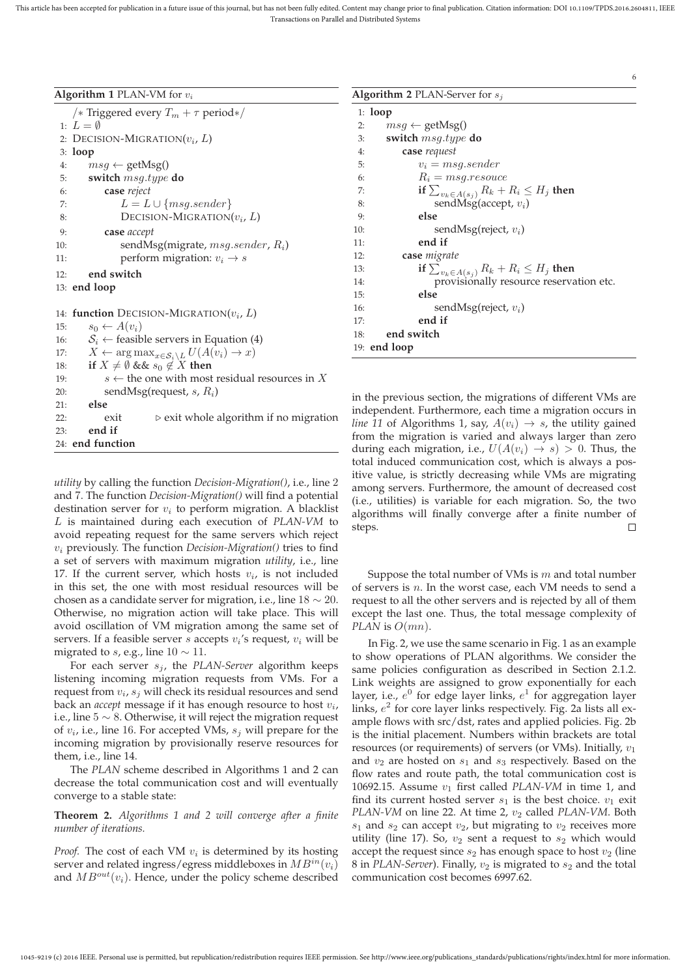| $\mathbf{H}$ |                                                                                |  |  |  |  |  |  |  |
|--------------|--------------------------------------------------------------------------------|--|--|--|--|--|--|--|
|              | /* Triggered every $T_m + \tau$ period*/<br>1: $L = \emptyset$                 |  |  |  |  |  |  |  |
|              | 2: DECISION-MIGRATION $(v_i, L)$                                               |  |  |  |  |  |  |  |
|              | $3: \text{loop}$                                                               |  |  |  |  |  |  |  |
| 4:           | $msg \leftarrow getMsg()$                                                      |  |  |  |  |  |  |  |
|              | 5: switch <i>msg.type</i> do                                                   |  |  |  |  |  |  |  |
| 6:           | case reject                                                                    |  |  |  |  |  |  |  |
| 7:           | $L = L \cup \{msg. sender\}$                                                   |  |  |  |  |  |  |  |
| 8:           | DECISION-MIGRATION $(v_i, L)$                                                  |  |  |  |  |  |  |  |
| 9:           | case <i>accept</i>                                                             |  |  |  |  |  |  |  |
| 10:          | sendMsg(migrate, $msg.sender$ , $R_i$ )                                        |  |  |  |  |  |  |  |
| 11:          | perform migration: $v_i \rightarrow s$                                         |  |  |  |  |  |  |  |
| 12:          | end switch                                                                     |  |  |  |  |  |  |  |
|              | 13: end $loop$                                                                 |  |  |  |  |  |  |  |
|              |                                                                                |  |  |  |  |  |  |  |
|              | 14: function DECISION-MIGRATION( $v_i$ , L)                                    |  |  |  |  |  |  |  |
|              | $s_0 \leftarrow A(v_i)$<br>15:                                                 |  |  |  |  |  |  |  |
|              | 16: $S_i \leftarrow$ feasible servers in Equation (4)                          |  |  |  |  |  |  |  |
|              | 17: $X \leftarrow \arg \max_{x \in \mathcal{S}_i \setminus L} U(A(v_i) \to x)$ |  |  |  |  |  |  |  |
|              | if $X \neq \emptyset$ && $s_0 \notin X$ then<br>18:                            |  |  |  |  |  |  |  |
| 19:          | $s \leftarrow$ the one with most residual resources in X                       |  |  |  |  |  |  |  |
| 20:          | sendMsg(request, $s$ , $R_i$ )                                                 |  |  |  |  |  |  |  |
|              | $21:$ else                                                                     |  |  |  |  |  |  |  |
| 22:          | $\triangleright$ exit whole algorithm if no migration<br>exit                  |  |  |  |  |  |  |  |
| 23:          | end if                                                                         |  |  |  |  |  |  |  |
|              | 24: end function                                                               |  |  |  |  |  |  |  |

**Algorithm 1** PLAN-VM for v

*utility* by calling the function *Decision-Migration()*, i.e., line 2 and 7. The function *Decision-Migration()* will find a potential destination server for  $v_i$  to perform migration. A blacklist L is maintained during each execution of *PLAN-VM* to avoid repeating request for the same servers which reject v<sup>i</sup> previously. The function *Decision-Migration()* tries to find a set of servers with maximum migration *utility*, i.e., line 17. If the current server, which hosts  $v_i$ , is not included in this set, the one with most residual resources will be chosen as a candidate server for migration, i.e., line  $18 \sim 20$ . Otherwise, no migration action will take place. This will avoid oscillation of VM migration among the same set of servers. If a feasible server  $s$  accepts  $v_i$ 's request,  $v_i$  will be migrated to  $s$ , e.g., line  $10 \sim 11$ .

For each server  $s_j$ , the *PLAN-Server* algorithm keeps listening incoming migration requests from VMs. For a request from  $v_i$ ,  $s_j$  will check its residual resources and send back an *accept* message if it has enough resource to host  $v_i$ , i.e., line 5 <sup>∼</sup> 8. Otherwise, it will reject the migration request of  $v_i$ , i.e., line 16. For accepted VMs,  $s_i$  will prepare for the incoming migration by provisionally reserve resources for them, i.e., line 14.

The *PLAN* scheme described in Algorithms 1 and 2 can decrease the total communication cost and will eventually converge to a stable state:

**Theorem 2.** *Algorithms 1 and 2 will converge after a finite number of iterations.*

*Proof.* The cost of each VM  $v_i$  is determined by its hosting server and related ingress/egress middleboxes in  $MB^{in}(v_i)$ and  $MB^{out}(v_i)$ . Hence, under the policy scheme described

| <b>Algorithm 2</b> PLAN-Server for $s_i$ |                                                    |  |  |  |  |  |
|------------------------------------------|----------------------------------------------------|--|--|--|--|--|
|                                          | 1: loop                                            |  |  |  |  |  |
| 2:                                       | $msg \leftarrow \text{getMsg()}$                   |  |  |  |  |  |
| $\mathcal{E}$ :                          | switch msg.type do                                 |  |  |  |  |  |
| 4:                                       | case request                                       |  |  |  |  |  |
| 5:                                       | $v_i = msq. sender$                                |  |  |  |  |  |
| 6:                                       | $R_i = msq$ . resouce                              |  |  |  |  |  |
| 7:                                       | if $\sum_{v_k \in A(s_i)} R_k + R_i \leq H_j$ then |  |  |  |  |  |
| 8:                                       | sendMsg(accept, $v_i$ )                            |  |  |  |  |  |
| 9:                                       | else                                               |  |  |  |  |  |
| 10:                                      | sendMsg(reject, $v_i$ )                            |  |  |  |  |  |
| 11:                                      | end if                                             |  |  |  |  |  |
| 12:                                      | case <i>migrate</i>                                |  |  |  |  |  |
| 13:                                      | if $\sum_{v_k \in A(s_i)} R_k + R_i \leq H_j$ then |  |  |  |  |  |
| 14:                                      | provisionally resource reservation etc.            |  |  |  |  |  |
| 15:                                      | else                                               |  |  |  |  |  |
| 16:                                      | send $Msg(reject, v_i)$                            |  |  |  |  |  |
| 17:                                      | end if                                             |  |  |  |  |  |
| 18:                                      | end switch                                         |  |  |  |  |  |
|                                          | 19: end $loop$                                     |  |  |  |  |  |

6

in the previous section, the migrations of different VMs are independent. Furthermore, each time a migration occurs in *line 11* of Algorithms 1, say,  $A(v_i) \rightarrow s$ , the utility gained from the migration is varied and always larger than zero during each migration, i.e.,  $U(A(v_i) \rightarrow s) > 0$ . Thus, the total induced communication cost, which is always a positive value, is strictly decreasing while VMs are migrating among servers. Furthermore, the amount of decreased cost (i.e., utilities) is variable for each migration. So, the two algorithms will finally converge after a finite number of steps.  $\Box$ 

Suppose the total number of VMs is  $m$  and total number of servers is n. In the worst case, each VM needs to send a request to all the other servers and is rejected by all of them except the last one. Thus, the total message complexity of *PLAN* is  $O(mn)$ *.* 

In Fig. 2, we use the same scenario in Fig. 1 as an example to show operations of PLAN algorithms. We consider the same policies configuration as described in Section 2.1.2. Link weights are assigned to grow exponentially for each layer, i.e.,  $e^0$  for edge layer links,  $e^1$  for aggregation layer links,  $e^2$  for core layer links respectively. Fig. 2a lists all example flows with src/dst, rates and applied policies. Fig. 2b is the initial placement. Numbers within brackets are total resources (or requirements) of servers (or VMs). Initially,  $v_1$ and  $v_2$  are hosted on  $s_1$  and  $s_3$  respectively. Based on the flow rates and route path, the total communication cost is 10692.15. Assume  $v_1$  first called *PLAN-VM* in time 1, and find its current hosted server  $s_1$  is the best choice.  $v_1$  exit *PLAN-VM* on line 22. At time 2,  $v_2$  called *PLAN-VM*. Both  $s_1$  and  $s_2$  can accept  $v_2$ , but migrating to  $v_2$  receives more utility (line 17). So,  $v_2$  sent a request to  $s_2$  which would accept the request since  $s_2$  has enough space to host  $v_2$  (line 8 in *PLAN-Server*). Finally,  $v_2$  is migrated to  $s_2$  and the total communication cost becomes 6997.62.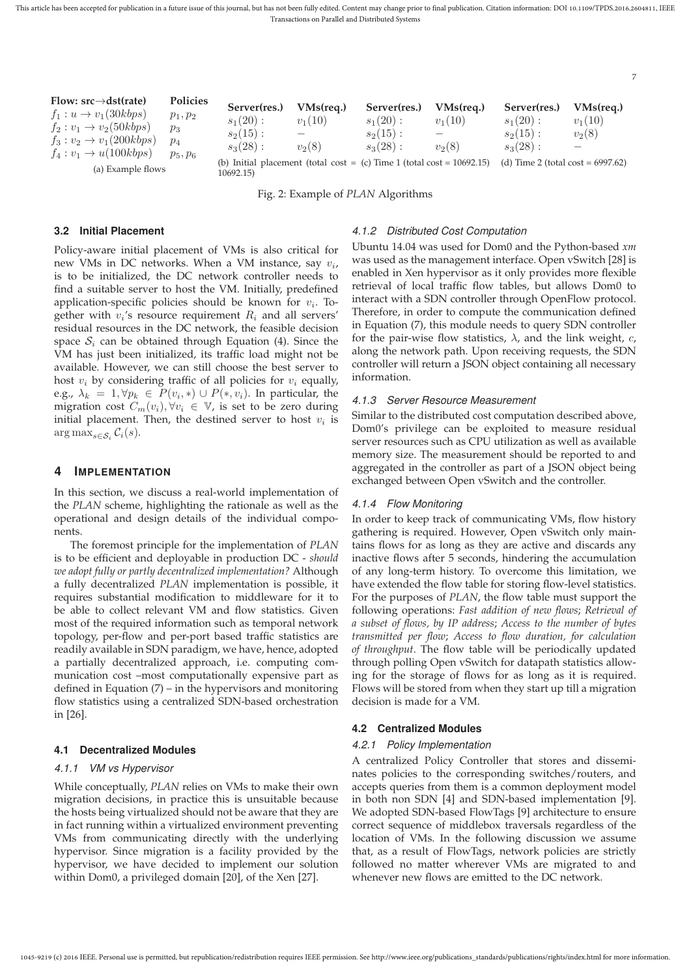| Flow: $src \rightarrow dist(rate)$                     | <b>Policies</b> | Server(res.) | VMs(req.)                                                                            | Server(res.) | VMs(reg.) | Server(res.)                         | VMs(reg.) |
|--------------------------------------------------------|-----------------|--------------|--------------------------------------------------------------------------------------|--------------|-----------|--------------------------------------|-----------|
| $f_1: u \rightarrow v_1(30kbps)$                       | $p_1, p_2$      | $s_1(20)$ :  | $v_1(10)$                                                                            | $s_1(20)$ :  | $v_1(10)$ | $s_1(20)$ :                          | $v_1(10)$ |
| $f_2: v_1 \rightarrow v_2(50kbps)$                     | $p_3$           | $s_2(15):$   |                                                                                      | $s_2(15):$   |           | $s_2(15)$ :                          | $v_2(8)$  |
| $f_3: v_2 \to v_1(200kbps)$                            | $p_4$           | $s_3(28)$ :  | $v_2(8)$                                                                             | $s_3(28)$ :  | $v_2(8)$  | $s_3(28)$ :                          |           |
| $f_4: v_1 \rightarrow u(100kbps)$<br>(a) Example flows | $p_5, p_6$      |              | (b) Initial placement (total cost = $(c)$ Time 1 (total cost = 10692.15)<br>10692.15 |              |           | (d) Time 2 (total cost = $6997.62$ ) |           |

Fig. 2: Example of *PLAN* Algorithms

# **3.2 Initial Placement**

Policy-aware initial placement of VMs is also critical for new VMs in DC networks. When a VM instance, say  $v_i$ , is to be initialized, the DC network controller needs to find a suitable server to host the VM. Initially, predefined application-specific policies should be known for  $v_i$ . Together with  $v_i$ 's resource requirement  $R_i$  and all servers' residual resources in the DC network, the feasible decision space  $S_i$  can be obtained through Equation (4). Since the VM has just been initialized, its traffic load might not be available. However, we can still choose the best server to host  $v_i$  by considering traffic of all policies for  $v_i$  equally, e.g.,  $\lambda_k = 1, \forall p_k \in P(v_i, *) \cup P(*, v_i)$ . In particular, the migration cost  $C_m(v_i), \forall v_i \in \mathbb{V}$ , is set to be zero during initial placement. Then, the destined server to host  $v_i$  is arg max $_{s\in\mathcal{S}_i}$   $\mathcal{C}_i(s)$ .

## **4 IMPLEMENTATION**

In this section, we discuss a real-world implementation of the *PLAN* scheme, highlighting the rationale as well as the operational and design details of the individual components.

The foremost principle for the implementation of *PLAN* is to be efficient and deployable in production DC - *should we adopt fully or partly decentralized implementation?* Although a fully decentralized *PLAN* implementation is possible, it requires substantial modification to middleware for it to be able to collect relevant VM and flow statistics. Given most of the required information such as temporal network topology, per-flow and per-port based traffic statistics are readily available in SDN paradigm, we have, hence, adopted a partially decentralized approach, i.e. computing communication cost –most computationally expensive part as defined in Equation (7) – in the hypervisors and monitoring flow statistics using a centralized SDN-based orchestration in [26].

#### **4.1 Decentralized Modules**

#### *4.1.1 VM vs Hypervisor*

While conceptually, *PLAN* relies on VMs to make their own migration decisions, in practice this is unsuitable because the hosts being virtualized should not be aware that they are in fact running within a virtualized environment preventing VMs from communicating directly with the underlying hypervisor. Since migration is a facility provided by the hypervisor, we have decided to implement our solution within Dom0, a privileged domain [20], of the Xen [27].

## *4.1.2 Distributed Cost Computation*

Ubuntu 14.04 was used for Dom0 and the Python-based *xm* was used as the management interface. Open vSwitch [28] is enabled in Xen hypervisor as it only provides more flexible retrieval of local traffic flow tables, but allows Dom0 to interact with a SDN controller through OpenFlow protocol. Therefore, in order to compute the communication defined in Equation (7), this module needs to query SDN controller for the pair-wise flow statistics,  $\lambda$ , and the link weight, c, along the network path. Upon receiving requests, the SDN controller will return a JSON object containing all necessary information.

7

## *4.1.3 Server Resource Measurement*

Similar to the distributed cost computation described above, Dom0's privilege can be exploited to measure residual server resources such as CPU utilization as well as available memory size. The measurement should be reported to and aggregated in the controller as part of a JSON object being exchanged between Open vSwitch and the controller.

#### *4.1.4 Flow Monitoring*

In order to keep track of communicating VMs, flow history gathering is required. However, Open vSwitch only maintains flows for as long as they are active and discards any inactive flows after 5 seconds, hindering the accumulation of any long-term history. To overcome this limitation, we have extended the flow table for storing flow-level statistics. For the purposes of *PLAN*, the flow table must support the following operations: *Fast addition of new flows*; *Retrieval of a subset of flows, by IP address*; *Access to the number of bytes transmitted per flow*; *Access to flow duration, for calculation of throughput*. The flow table will be periodically updated through polling Open vSwitch for datapath statistics allowing for the storage of flows for as long as it is required. Flows will be stored from when they start up till a migration decision is made for a VM.

#### **4.2 Centralized Modules**

#### *4.2.1 Policy Implementation*

A centralized Policy Controller that stores and disseminates policies to the corresponding switches/routers, and accepts queries from them is a common deployment model in both non SDN [4] and SDN-based implementation [9]. We adopted SDN-based FlowTags [9] architecture to ensure correct sequence of middlebox traversals regardless of the location of VMs. In the following discussion we assume that, as a result of FlowTags, network policies are strictly followed no matter wherever VMs are migrated to and whenever new flows are emitted to the DC network.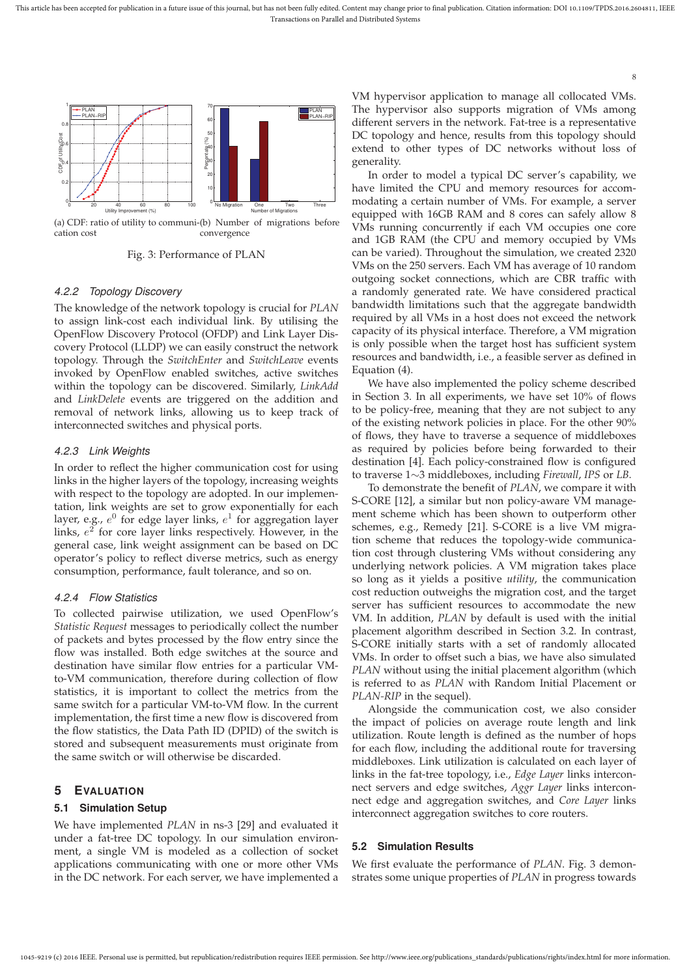

(a) CDF: ratio of utility to communi-(b) Number of migrations before cation cost convergence

Fig. 3: Performance of PLAN

## *4.2.2 Topology Discovery*

The knowledge of the network topology is crucial for *PLAN* to assign link-cost each individual link. By utilising the OpenFlow Discovery Protocol (OFDP) and Link Layer Discovery Protocol (LLDP) we can easily construct the network topology. Through the *SwitchEnter* and *SwitchLeave* events invoked by OpenFlow enabled switches, active switches within the topology can be discovered. Similarly, *LinkAdd* and *LinkDelete* events are triggered on the addition and removal of network links, allowing us to keep track of interconnected switches and physical ports.

# *4.2.3 Link Weights*

In order to reflect the higher communication cost for using links in the higher layers of the topology, increasing weights with respect to the topology are adopted. In our implementation, link weights are set to grow exponentially for each layer, e.g.,  $e^0$  for edge layer links,  $e^1$  for aggregation layer links,  $e<sup>2</sup>$  for core layer links respectively. However, in the general case, link weight assignment can be based on DC operator's policy to reflect diverse metrics, such as energy consumption, performance, fault tolerance, and so on.

#### *4.2.4 Flow Statistics*

To collected pairwise utilization, we used OpenFlow's *Statistic Request* messages to periodically collect the number of packets and bytes processed by the flow entry since the flow was installed. Both edge switches at the source and destination have similar flow entries for a particular VMto-VM communication, therefore during collection of flow statistics, it is important to collect the metrics from the same switch for a particular VM-to-VM flow. In the current implementation, the first time a new flow is discovered from the flow statistics, the Data Path ID (DPID) of the switch is stored and subsequent measurements must originate from the same switch or will otherwise be discarded.

# **5 EVALUATION**

# **5.1 Simulation Setup**

We have implemented *PLAN* in ns-3 [29] and evaluated it under a fat-tree DC topology. In our simulation environment, a single VM is modeled as a collection of socket applications communicating with one or more other VMs in the DC network. For each server, we have implemented a

VM hypervisor application to manage all collocated VMs. The hypervisor also supports migration of VMs among different servers in the network. Fat-tree is a representative DC topology and hence, results from this topology should extend to other types of DC networks without loss of generality.

8

In order to model a typical DC server's capability, we have limited the CPU and memory resources for accommodating a certain number of VMs. For example, a server equipped with 16GB RAM and 8 cores can safely allow 8 VMs running concurrently if each VM occupies one core and 1GB RAM (the CPU and memory occupied by VMs can be varied). Throughout the simulation, we created 2320 VMs on the 250 servers. Each VM has average of 10 random outgoing socket connections, which are CBR traffic with a randomly generated rate. We have considered practical bandwidth limitations such that the aggregate bandwidth required by all VMs in a host does not exceed the network capacity of its physical interface. Therefore, a VM migration is only possible when the target host has sufficient system resources and bandwidth, i.e., a feasible server as defined in Equation (4).

We have also implemented the policy scheme described in Section 3. In all experiments, we have set 10% of flows to be policy-free, meaning that they are not subject to any of the existing network policies in place. For the other 90% of flows, they have to traverse a sequence of middleboxes as required by policies before being forwarded to their destination [4]. Each policy-constrained flow is configured to traverse 1∼3 middleboxes, including *Firewall*, *IPS* or *LB*.

To demonstrate the benefit of *PLAN*, we compare it with S-CORE [12], a similar but non policy-aware VM management scheme which has been shown to outperform other schemes, e.g., Remedy [21]. S-CORE is a live VM migration scheme that reduces the topology-wide communication cost through clustering VMs without considering any underlying network policies. A VM migration takes place so long as it yields a positive *utility*, the communication cost reduction outweighs the migration cost, and the target server has sufficient resources to accommodate the new VM. In addition, *PLAN* by default is used with the initial placement algorithm described in Section 3.2. In contrast, S-CORE initially starts with a set of randomly allocated VMs. In order to offset such a bias, we have also simulated *PLAN* without using the initial placement algorithm (which is referred to as *PLAN* with Random Initial Placement or *PLAN-RIP* in the sequel).

Alongside the communication cost, we also consider the impact of policies on average route length and link utilization. Route length is defined as the number of hops for each flow, including the additional route for traversing middleboxes. Link utilization is calculated on each layer of links in the fat-tree topology, i.e., *Edge Layer* links interconnect servers and edge switches, *Aggr Layer* links interconnect edge and aggregation switches, and *Core Layer* links interconnect aggregation switches to core routers.

## **5.2 Simulation Results**

We first evaluate the performance of *PLAN*. Fig. 3 demonstrates some unique properties of *PLAN* in progress towards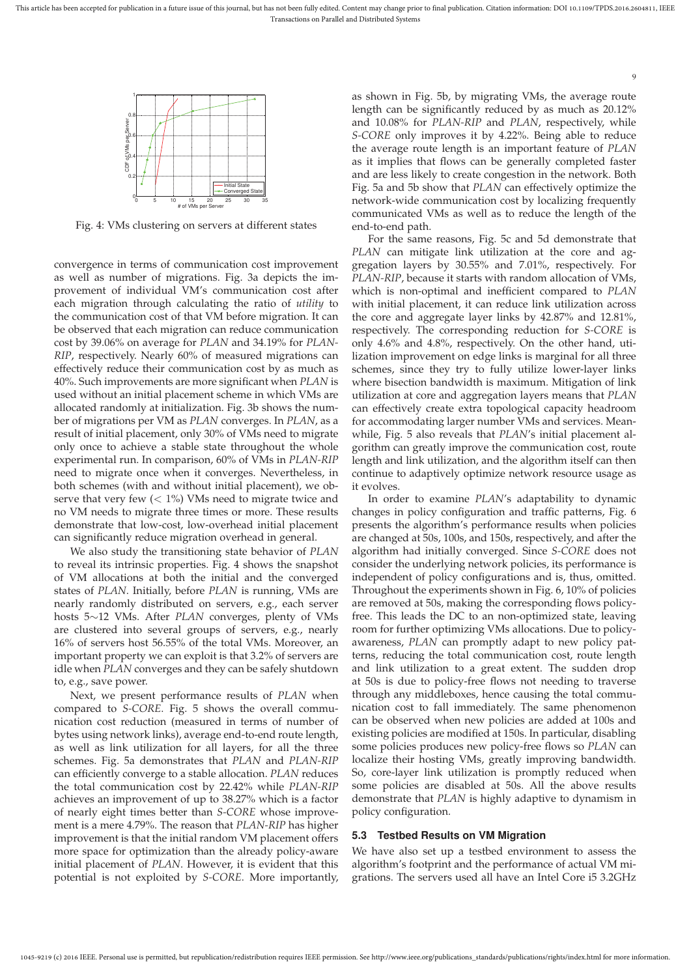

Fig. 4: VMs clustering on servers at different states

convergence in terms of communication cost improvement as well as number of migrations. Fig. 3a depicts the improvement of individual VM's communication cost after each migration through calculating the ratio of *utility* to the communication cost of that VM before migration. It can be observed that each migration can reduce communication cost by 39.06% on average for *PLAN* and 34.19% for *PLAN-RIP*, respectively. Nearly 60% of measured migrations can effectively reduce their communication cost by as much as 40%. Such improvements are more significant when *PLAN* is used without an initial placement scheme in which VMs are allocated randomly at initialization. Fig. 3b shows the number of migrations per VM as *PLAN* converges. In *PLAN*, as a result of initial placement, only 30% of VMs need to migrate only once to achieve a stable state throughout the whole experimental run. In comparison, 60% of VMs in *PLAN-RIP* need to migrate once when it converges. Nevertheless, in both schemes (with and without initial placement), we observe that very few  $(< 1\%)$  VMs need to migrate twice and no VM needs to migrate three times or more. These results demonstrate that low-cost, low-overhead initial placement can significantly reduce migration overhead in general.

We also study the transitioning state behavior of *PLAN* to reveal its intrinsic properties. Fig. 4 shows the snapshot of VM allocations at both the initial and the converged states of *PLAN*. Initially, before *PLAN* is running, VMs are nearly randomly distributed on servers, e.g., each server hosts 5∼12 VMs. After *PLAN* converges, plenty of VMs are clustered into several groups of servers, e.g., nearly 16% of servers host 56.55% of the total VMs. Moreover, an important property we can exploit is that 3.2% of servers are idle when *PLAN* converges and they can be safely shutdown to, e.g., save power.

Next, we present performance results of *PLAN* when compared to *S-CORE*. Fig. 5 shows the overall communication cost reduction (measured in terms of number of bytes using network links), average end-to-end route length, as well as link utilization for all layers, for all the three schemes. Fig. 5a demonstrates that *PLAN* and *PLAN-RIP* can efficiently converge to a stable allocation. *PLAN* reduces the total communication cost by 22.42% while *PLAN-RIP* achieves an improvement of up to 38.27% which is a factor of nearly eight times better than *S-CORE* whose improvement is a mere 4.79%. The reason that *PLAN-RIP* has higher improvement is that the initial random VM placement offers more space for optimization than the already policy-aware initial placement of *PLAN*. However, it is evident that this potential is not exploited by *S-CORE*. More importantly,

as shown in Fig. 5b, by migrating VMs, the average route length can be significantly reduced by as much as 20.12% and 10.08% for *PLAN-RIP* and *PLAN*, respectively, while *S-CORE* only improves it by 4.22%. Being able to reduce the average route length is an important feature of *PLAN* as it implies that flows can be generally completed faster and are less likely to create congestion in the network. Both Fig. 5a and 5b show that *PLAN* can effectively optimize the network-wide communication cost by localizing frequently communicated VMs as well as to reduce the length of the end-to-end path.

9

For the same reasons, Fig. 5c and 5d demonstrate that *PLAN* can mitigate link utilization at the core and aggregation layers by 30.55% and 7.01%, respectively. For *PLAN-RIP*, because it starts with random allocation of VMs, which is non-optimal and inefficient compared to *PLAN* with initial placement, it can reduce link utilization across the core and aggregate layer links by 42.87% and 12.81%, respectively. The corresponding reduction for *S-CORE* is only 4.6% and 4.8%, respectively. On the other hand, utilization improvement on edge links is marginal for all three schemes, since they try to fully utilize lower-layer links where bisection bandwidth is maximum. Mitigation of link utilization at core and aggregation layers means that *PLAN* can effectively create extra topological capacity headroom for accommodating larger number VMs and services. Meanwhile, Fig. 5 also reveals that *PLAN*'s initial placement algorithm can greatly improve the communication cost, route length and link utilization, and the algorithm itself can then continue to adaptively optimize network resource usage as it evolves.

In order to examine *PLAN*'s adaptability to dynamic changes in policy configuration and traffic patterns, Fig. 6 presents the algorithm's performance results when policies are changed at 50s, 100s, and 150s, respectively, and after the algorithm had initially converged. Since *S-CORE* does not consider the underlying network policies, its performance is independent of policy configurations and is, thus, omitted. Throughout the experiments shown in Fig. 6, 10% of policies are removed at 50s, making the corresponding flows policyfree. This leads the DC to an non-optimized state, leaving room for further optimizing VMs allocations. Due to policyawareness, *PLAN* can promptly adapt to new policy patterns, reducing the total communication cost, route length and link utilization to a great extent. The sudden drop at 50s is due to policy-free flows not needing to traverse through any middleboxes, hence causing the total communication cost to fall immediately. The same phenomenon can be observed when new policies are added at 100s and existing policies are modified at 150s. In particular, disabling some policies produces new policy-free flows so *PLAN* can localize their hosting VMs, greatly improving bandwidth. So, core-layer link utilization is promptly reduced when some policies are disabled at 50s. All the above results demonstrate that *PLAN* is highly adaptive to dynamism in policy configuration.

#### **5.3 Testbed Results on VM Migration**

We have also set up a testbed environment to assess the algorithm's footprint and the performance of actual VM migrations. The servers used all have an Intel Core i5 3.2GHz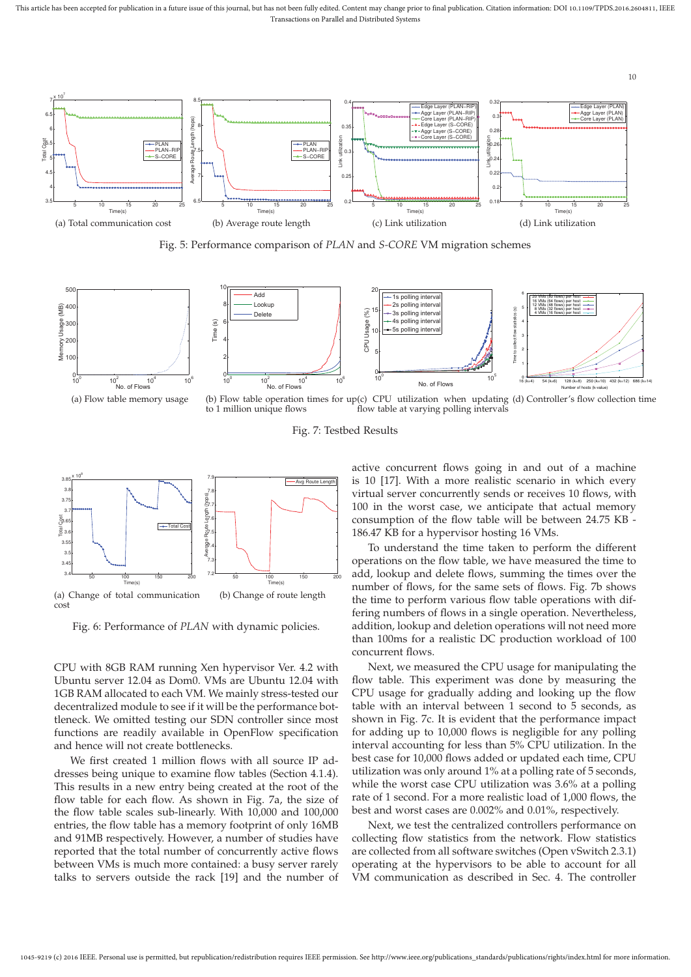

Fig. 5: Performance comparison of *PLAN* and *S-CORE* VM migration schemes



(a) Flow table memory usage (b) Flow table operation times for up(c) CPU utilization when updating (d) Controller's flow collection time to 1 million unique flows flow table at varying polling intervals

Fig. 7: Testbed Results



Fig. 6: Performance of *PLAN* with dynamic policies.

CPU with 8GB RAM running Xen hypervisor Ver. 4.2 with Ubuntu server 12.04 as Dom0. VMs are Ubuntu 12.04 with 1GB RAM allocated to each VM. We mainly stress-tested our decentralized module to see if it will be the performance bottleneck. We omitted testing our SDN controller since most functions are readily available in OpenFlow specification and hence will not create bottlenecks.

We first created 1 million flows with all source IP addresses being unique to examine flow tables (Section 4.1.4). This results in a new entry being created at the root of the flow table for each flow. As shown in Fig. 7a, the size of the flow table scales sub-linearly. With 10,000 and 100,000 entries, the flow table has a memory footprint of only 16MB and 91MB respectively. However, a number of studies have reported that the total number of concurrently active flows between VMs is much more contained: a busy server rarely talks to servers outside the rack [19] and the number of

active concurrent flows going in and out of a machine is 10 [17]. With a more realistic scenario in which every virtual server concurrently sends or receives 10 flows, with 100 in the worst case, we anticipate that actual memory consumption of the flow table will be between 24.75 KB - 186.47 KB for a hypervisor hosting 16 VMs.

To understand the time taken to perform the different operations on the flow table, we have measured the time to add, lookup and delete flows, summing the times over the number of flows, for the same sets of flows. Fig. 7b shows the time to perform various flow table operations with differing numbers of flows in a single operation. Nevertheless, addition, lookup and deletion operations will not need more than 100ms for a realistic DC production workload of 100 concurrent flows.

Next, we measured the CPU usage for manipulating the flow table. This experiment was done by measuring the CPU usage for gradually adding and looking up the flow table with an interval between 1 second to 5 seconds, as shown in Fig. 7c. It is evident that the performance impact for adding up to 10,000 flows is negligible for any polling interval accounting for less than 5% CPU utilization. In the best case for 10,000 flows added or updated each time, CPU utilization was only around 1% at a polling rate of 5 seconds, while the worst case CPU utilization was 3.6% at a polling rate of 1 second. For a more realistic load of 1,000 flows, the best and worst cases are 0.002% and 0.01%, respectively.

Next, we test the centralized controllers performance on collecting flow statistics from the network. Flow statistics are collected from all software switches (Open vSwitch 2.3.1) operating at the hypervisors to be able to account for all VM communication as described in Sec. 4. The controller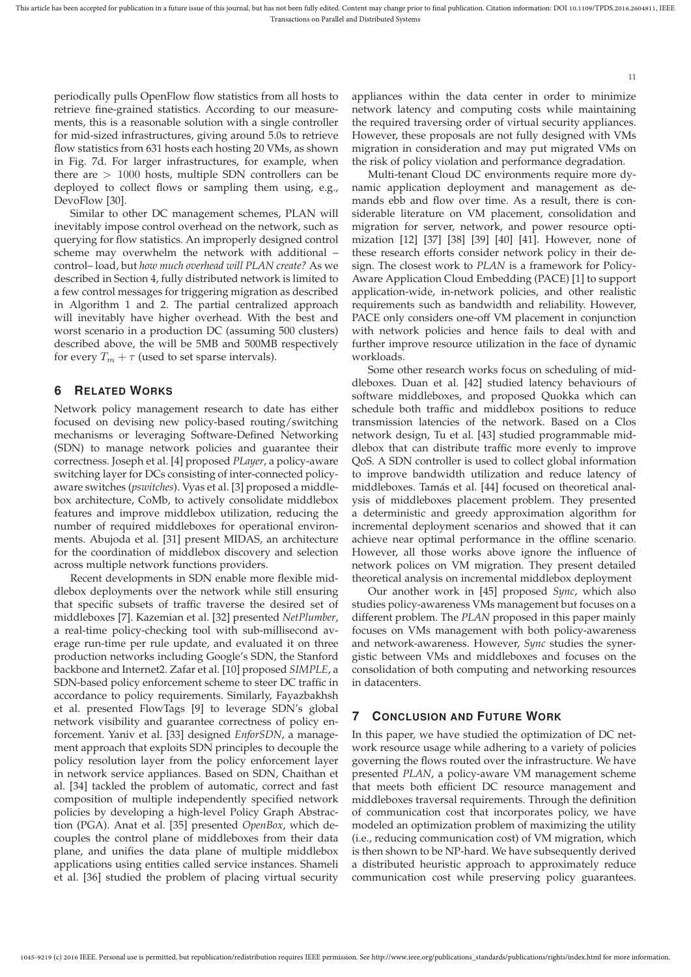periodically pulls OpenFlow flow statistics from all hosts to retrieve fine-grained statistics. According to our measurements, this is a reasonable solution with a single controller for mid-sized infrastructures, giving around 5.0s to retrieve flow statistics from 631 hosts each hosting 20 VMs, as shown in Fig. 7d. For larger infrastructures, for example, when there are  $> 1000$  hosts, multiple SDN controllers can be deployed to collect flows or sampling them using, e.g., DevoFlow [30].

Similar to other DC management schemes, PLAN will inevitably impose control overhead on the network, such as querying for flow statistics. An improperly designed control scheme may overwhelm the network with additional – control– load, but *how much overhead will PLAN create?* As we described in Section 4, fully distributed network is limited to a few control messages for triggering migration as described in Algorithm 1 and 2. The partial centralized approach will inevitably have higher overhead. With the best and worst scenario in a production DC (assuming 500 clusters) described above, the will be 5MB and 500MB respectively for every  $T_m + \tau$  (used to set sparse intervals).

# **6 RELATED WORKS**

Network policy management research to date has either focused on devising new policy-based routing/switching mechanisms or leveraging Software-Defined Networking (SDN) to manage network policies and guarantee their correctness. Joseph et al. [4] proposed *PLayer*, a policy-aware switching layer for DCs consisting of inter-connected policyaware switches (*pswitches*). Vyas et al. [3] proposed a middlebox architecture, CoMb, to actively consolidate middlebox features and improve middlebox utilization, reducing the number of required middleboxes for operational environments. Abujoda et al. [31] present MIDAS, an architecture for the coordination of middlebox discovery and selection across multiple network functions providers.

Recent developments in SDN enable more flexible middlebox deployments over the network while still ensuring that specific subsets of traffic traverse the desired set of middleboxes [7]. Kazemian et al. [32] presented *NetPlumber*, a real-time policy-checking tool with sub-millisecond average run-time per rule update, and evaluated it on three production networks including Google's SDN, the Stanford backbone and Internet2. Zafar et al. [10] proposed *SIMPLE*, a SDN-based policy enforcement scheme to steer DC traffic in accordance to policy requirements. Similarly, Fayazbakhsh et al. presented FlowTags [9] to leverage SDN's global network visibility and guarantee correctness of policy enforcement. Yaniv et al. [33] designed *EnforSDN*, a management approach that exploits SDN principles to decouple the policy resolution layer from the policy enforcement layer in network service appliances. Based on SDN, Chaithan et al. [34] tackled the problem of automatic, correct and fast composition of multiple independently specified network policies by developing a high-level Policy Graph Abstraction (PGA). Anat et al. [35] presented *OpenBox*, which decouples the control plane of middleboxes from their data plane, and unifies the data plane of multiple middlebox applications using entities called service instances. Shameli et al. [36] studied the problem of placing virtual security

appliances within the data center in order to minimize network latency and computing costs while maintaining the required traversing order of virtual security appliances. However, these proposals are not fully designed with VMs migration in consideration and may put migrated VMs on the risk of policy violation and performance degradation.

Multi-tenant Cloud DC environments require more dynamic application deployment and management as demands ebb and flow over time. As a result, there is considerable literature on VM placement, consolidation and migration for server, network, and power resource optimization [12] [37] [38] [39] [40] [41]. However, none of these research efforts consider network policy in their design. The closest work to *PLAN* is a framework for Policy-Aware Application Cloud Embedding (PACE) [1] to support application-wide, in-network policies, and other realistic requirements such as bandwidth and reliability. However, PACE only considers one-off VM placement in conjunction with network policies and hence fails to deal with and further improve resource utilization in the face of dynamic workloads.

Some other research works focus on scheduling of middleboxes. Duan et al. [42] studied latency behaviours of software middleboxes, and proposed Quokka which can schedule both traffic and middlebox positions to reduce transmission latencies of the network. Based on a Clos network design, Tu et al. [43] studied programmable middlebox that can distribute traffic more evenly to improve QoS. A SDN controller is used to collect global information to improve bandwidth utilization and reduce latency of middleboxes. Tamás et al. [44] focused on theoretical analysis of middleboxes placement problem. They presented a deterministic and greedy approximation algorithm for incremental deployment scenarios and showed that it can achieve near optimal performance in the offline scenario. However, all those works above ignore the influence of network polices on VM migration. They present detailed theoretical analysis on incremental middlebox deployment

Our another work in [45] proposed *Sync*, which also studies policy-awareness VMs management but focuses on a different problem. The *PLAN* proposed in this paper mainly focuses on VMs management with both policy-awareness and network-awareness. However, *Sync* studies the synergistic between VMs and middleboxes and focuses on the consolidation of both computing and networking resources in datacenters.

# **7 CONCLUSION AND FUTURE WORK**

In this paper, we have studied the optimization of DC network resource usage while adhering to a variety of policies governing the flows routed over the infrastructure. We have presented *PLAN*, a policy-aware VM management scheme that meets both efficient DC resource management and middleboxes traversal requirements. Through the definition of communication cost that incorporates policy, we have modeled an optimization problem of maximizing the utility (i.e., reducing communication cost) of VM migration, which is then shown to be NP-hard. We have subsequently derived a distributed heuristic approach to approximately reduce communication cost while preserving policy guarantees.

11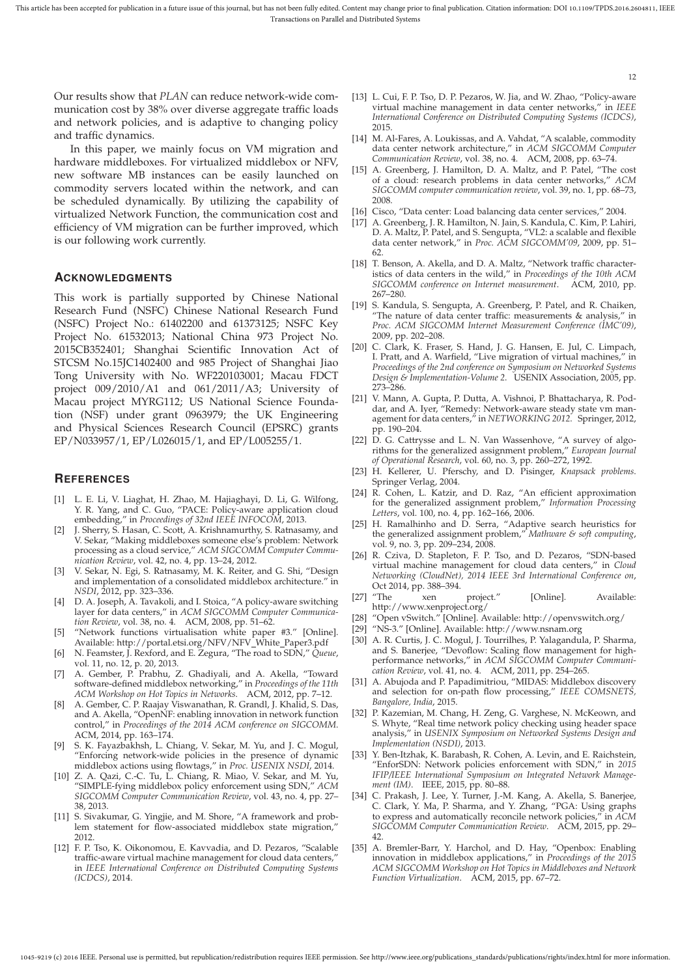Our results show that *PLAN* can reduce network-wide communication cost by 38% over diverse aggregate traffic loads and network policies, and is adaptive to changing policy and traffic dynamics.

In this paper, we mainly focus on VM migration and hardware middleboxes. For virtualized middlebox or NFV, new software MB instances can be easily launched on commodity servers located within the network, and can be scheduled dynamically. By utilizing the capability of virtualized Network Function, the communication cost and efficiency of VM migration can be further improved, which is our following work currently.

# **ACKNOWLEDGMENTS**

This work is partially supported by Chinese National Research Fund (NSFC) Chinese National Research Fund (NSFC) Project No.: 61402200 and 61373125; NSFC Key Project No. 61532013; National China 973 Project No. 2015CB352401; Shanghai Scientific Innovation Act of STCSM No.15JC1402400 and 985 Project of Shanghai Jiao Tong University with No. WF220103001; Macau FDCT project 009/2010/A1 and 061/2011/A3; University of Macau project MYRG112; US National Science Foundation (NSF) under grant 0963979; the UK Engineering and Physical Sciences Research Council (EPSRC) grants EP/N033957/1, EP/L026015/1, and EP/L005255/1.

# **REFERENCES**

- [1] L. E. Li, V. Liaghat, H. Zhao, M. Hajiaghayi, D. Li, G. Wilfong, Y. R. Yang, and C. Guo, "PACE: Policy-aware application cloud embedding," in *Proceedings of 32nd IEEE INFOCOM*, 2013.
- J. Sherry, S. Hasan, C. Scott, A. Krishnamurthy, S. Ratnasamy, and V. Sekar, "Making middleboxes someone else's problem: Network processing as a cloud service," *ACM SIGCOMM Computer Communication Review*, vol. 42, no. 4, pp. 13–24, 2012.
- [3] V. Sekar, N. Egi, S. Ratnasamy, M. K. Reiter, and G. Shi, "Design and implementation of a consolidated middlebox architecture." in *NSDI*, 2012, pp. 323–336.
- [4] D. A. Joseph, A. Tavakoli, and I. Stoica, "A policy-aware switching layer for data centers," in *ACM SIGCOMM Computer Communication Review*, vol. 38, no. 4. ACM, 2008, pp. 51–62.
- [5] "Network functions virtualisation white paper #3." [Online]. Available: http://portal.etsi.org/NFV/NFV White Paper3.pdf
- [6] N. Feamster, J. Rexford, and E. Zegura, "The road to SDN," *Queue*, vol. 11, no. 12, p. 20, 2013.
- [7] A. Gember, P. Prabhu, Z. Ghadiyali, and A. Akella, "Toward software-defined middlebox networking," in *Proceedings of the 11th ACM Workshop on Hot Topics in Networks*. ACM, 2012, pp. 7–12.
- [8] A. Gember, C. P. Raajay Viswanathan, R. Grandl, J. Khalid, S. Das, and A. Akella, "OpenNF: enabling innovation in network function control," in *Proceedings of the 2014 ACM conference on SIGCOMM*. ACM, 2014, pp. 163–174.
- [9] S. K. Fayazbakhsh, L. Chiang, V. Sekar, M. Yu, and J. C. Mogul, "Enforcing network-wide policies in the presence of dynamic middlebox actions using flowtags," in *Proc. USENIX NSDI*, 2014.
- [10] Z. A. Qazi, C.-C. Tu, L. Chiang, R. Miao, V. Sekar, and M. Yu, "SIMPLE-fying middlebox policy enforcement using SDN," *ACM SIGCOMM Computer Communication Review*, vol. 43, no. 4, pp. 27– 38, 2013.
- [11] S. Sivakumar, G. Yingjie, and M. Shore, "A framework and problem statement for flow-associated middlebox state migration," 2012.
- [12] F. P. Tso, K. Oikonomou, E. Kavvadia, and D. Pezaros, "Scalable traffic-aware virtual machine management for cloud data centers," in *IEEE International Conference on Distributed Computing Systems (ICDCS)*, 2014.

[13] L. Cui, F. P. Tso, D. P. Pezaros, W. Jia, and W. Zhao, "Policy-aware virtual machine management in data center networks," in *IEEE International Conference on Distributed Computing Systems (ICDCS)*, 2015.

12

- [14] M. Al-Fares, A. Loukissas, and A. Vahdat, "A scalable, commodity data center network architecture," in *ACM SIGCOMM Computer Communication Review*, vol. 38, no. 4. ACM, 2008, pp. 63–74.
- [15] A. Greenberg, J. Hamilton, D. A. Maltz, and P. Patel, "The cost of a cloud: research problems in data center networks," *ACM SIGCOMM computer communication review*, vol. 39, no. 1, pp. 68–73, 2008.
- [16] Cisco, "Data center: Load balancing data center services," 2004.
- [17] A. Greenberg, J. R. Hamilton, N. Jain, S. Kandula, C. Kim, P. Lahiri, D. A. Maltz, P. Patel, and S. Sengupta, "VL2: a scalable and flexible data center network," in *Proc. ACM SIGCOMM'09*, 2009, pp. 51– 62.
- [18] T. Benson, A. Akella, and D. A. Maltz, "Network traffic characteristics of data centers in the wild," in *Proceedings of the 10th ACM*<br>SIGCOMM conference on Internet measurement. ACM, 2010, pp.  $SIGCOMM$  conference on Internet measurement. 267–280.
- [19] S. Kandula, S. Sengupta, A. Greenberg, P. Patel, and R. Chaiken, "The nature of data center traffic: measurements & analysis," in *Proc. ACM SIGCOMM Internet Measurement Conference (IMC'09)*, 2009, pp. 202–208.
- [20] C. Clark, K. Fraser, S. Hand, J. G. Hansen, E. Jul, C. Limpach, I. Pratt, and A. Warfield, "Live migration of virtual machines, *Proceedings of the 2nd conference on Symposium on Networked Systems Design & Implementation-Volume 2*. USENIX Association, 2005, pp. 273–286.
- [21] V. Mann, A. Gupta, P. Dutta, A. Vishnoi, P. Bhattacharya, R. Poddar, and A. Iyer, "Remedy: Network-aware steady state vm management for data centers," in *NETWORKING 2012*. Springer, 2012, pp. 190–204.
- [22] D. G. Cattrysse and L. N. Van Wassenhove, "A survey of algorithms for the generalized assignment problem," *European Journal of Operational Research*, vol. 60, no. 3, pp. 260–272, 1992.
- [23] H. Kellerer, U. Pferschy, and D. Pisinger, *Knapsack problems*. Springer Verlag, 2004.
- [24] R. Cohen, L. Katzir, and D. Raz, "An efficient approximation for the generalized assignment problem," *Information Processing Letters*, vol. 100, no. 4, pp. 162–166, 2006.
- [25] H. Ramalhinho and D. Serra, "Adaptive search heuristics for the generalized assignment problem," *Mathware & soft computing*, vol. 9, no. 3, pp. 209–234, 2008.
- [26] R. Cziva, D. Stapleton, F. P. Tso, and D. Pezaros, "SDN-based virtual machine management for cloud data centers," in *Cloud Networking (CloudNet), 2014 IEEE 3rd International Conference on*, Oct 2014, pp. 388–394.
- [27] "The xen project." [Online]. Available: http://www.xenproject.org/
- [28] "Open vSwitch." [Online]. Available: http://openvswitch.org/
- [29] "NS-3." [Online]. Available: http://www.nsnam.org
- [30] A. R. Curtis, J. C. Mogul, J. Tourrilhes, P. Yalagandula, P. Sharma, and S. Banerjee, "Devoflow: Scaling flow management for highperformance networks," in *ACM SIGCOMM Computer Communication Review*, vol. 41, no. 4. ACM, 2011, pp. 254–265.
- [31] A. Abujoda and P. Papadimitriou, "MIDAS: Middlebox discovery and selection for on-path flow processing," *IEEE COMSNETS, Bangalore, India*, 2015.
- [32] P. Kazemian, M. Chang, H. Zeng, G. Varghese, N. McKeown, and S. Whyte, "Real time network policy checking using header space analysis," in *USENIX Symposium on Networked Systems Design and Implementation (NSDI)*, 2013.
- [33] Y. Ben-Itzhak, K. Barabash, R. Cohen, A. Levin, and E. Raichstein, "EnforSDN: Network policies enforcement with SDN," in *2015 IFIP/IEEE International Symposium on Integrated Network Management (IM)*. IEEE, 2015, pp. 80–88.
- [34] C. Prakash, J. Lee, Y. Turner, J.-M. Kang, A. Akella, S. Banerjee, C. Clark, Y. Ma, P. Sharma, and Y. Zhang, "PGA: Using graphs to express and automatically reconcile network policies," in *ACM SIGCOMM Computer Communication Review*. ACM, 2015, pp. 29– 42.
- [35] A. Bremler-Barr, Y. Harchol, and D. Hay, "Openbox: Enabling innovation in middlebox applications," in *Proceedings of the 2015 ACM SIGCOMM Workshop on Hot Topics in Middleboxes and Network Function Virtualization*. ACM, 2015, pp. 67–72.